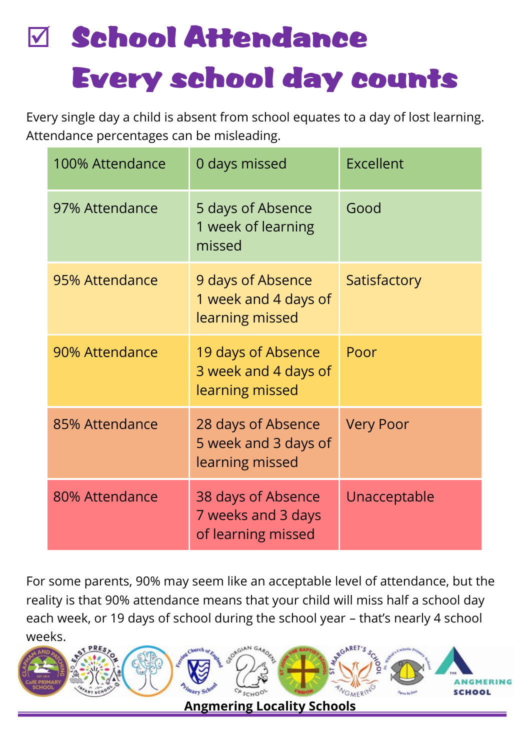# $\boxdot$  School Attendance Every school day counts

Every single day a child is absent from school equates to a day of lost learning. Attendance percentages can be misleading.

| 100% Attendance | 0 days missed                                                  | Excellent        |
|-----------------|----------------------------------------------------------------|------------------|
| 97% Attendance  | 5 days of Absence<br>1 week of learning<br>missed              | Good             |
| 95% Attendance  | 9 days of Absence<br>1 week and 4 days of<br>learning missed   | Satisfactory     |
| 90% Attendance  | 19 days of Absence<br>3 week and 4 days of<br>learning missed  | Poor             |
| 85% Attendance  | 28 days of Absence<br>5 week and 3 days of<br>learning missed  | <b>Very Poor</b> |
| 80% Attendance  | 38 days of Absence<br>7 weeks and 3 days<br>of learning missed | Unacceptable     |

For some parents, 90% may seem like an acceptable level of attendance, but the reality is that 90% attendance means that your child will miss half a school day each week, or 19 days of school during the school year – that's nearly 4 school weeks.

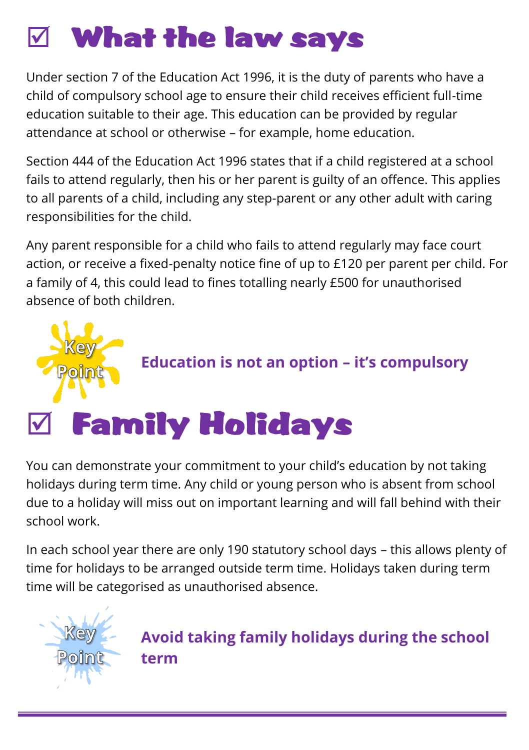#### What the law says

Under section 7 of the Education Act 1996, it is the duty of parents who have a child of compulsory school age to ensure their child receives efficient full-time education suitable to their age. This education can be provided by regular attendance at school or otherwise – for example, home education.

Section 444 of the Education Act 1996 states that if a child registered at a school fails to attend regularly, then his or her parent is guilty of an offence. This applies to all parents of a child, including any step-parent or any other adult with caring responsibilities for the child.

Any parent responsible for a child who fails to attend regularly may face court action, or receive a fixed-penalty notice fine of up to £120 per parent per child. For a family of 4, this could lead to fines totalling nearly £500 for unauthorised absence of both children.



You can demonstrate your commitment to your child's education by not taking holidays during term time. Any child or young person who is absent from school due to a holiday will miss out on important learning and will fall behind with their school work.

In each school year there are only 190 statutory school days – this allows plenty of time for holidays to be arranged outside term time. Holidays taken during term time will be categorised as unauthorised absence.



**Avoid taking family holidays during the school term**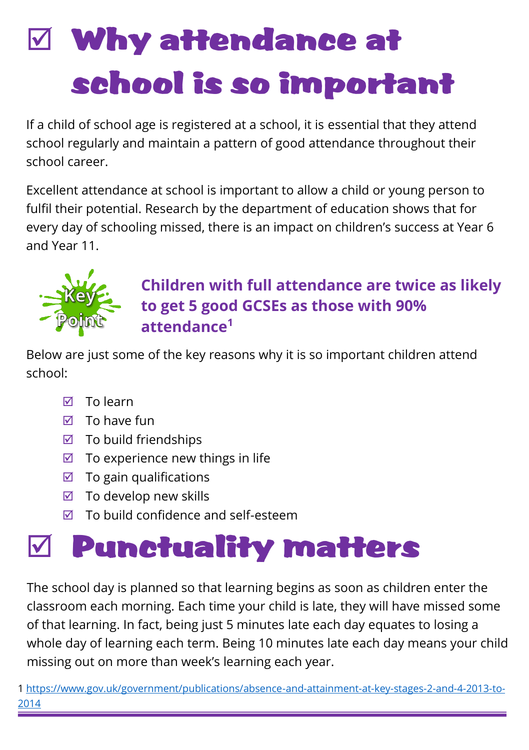# Why attendance at school is so important

If a child of school age is registered at a school, it is essential that they attend school regularly and maintain a pattern of good attendance throughout their school career.

Excellent attendance at school is important to allow a child or young person to fulfil their potential. Research by the department of education shows that for every day of schooling missed, there is an impact on children's success at Year 6 and Year 11.



#### **Children with full attendance are twice as likely to get 5 good GCSEs as those with 90% attendance<sup>1</sup>**

Below are just some of the key reasons why it is so important children attend school:

- $\nabla$  To learn
- $\overline{M}$  To have fun
- $\boxtimes$  To build friendships
- $\boxtimes$  To experience new things in life
- $\boxtimes$  To gain qualifications
- $\boxtimes$  To develop new skills
- $\boxtimes$  To build confidence and self-esteem

### Punctuality matters

The school day is planned so that learning begins as soon as children enter the classroom each morning. Each time your child is late, they will have missed some of that learning. In fact, being just 5 minutes late each day equates to losing a whole day of learning each term. Being 10 minutes late each day means your child missing out on more than week's learning each year.

1 [https://www.gov.uk/government/publications/absence-and-attainment-at-key-stages-2-and-4-2013-to-](https://www.gov.uk/government/publications/absence-and-attainment-at-key-stages-2-and-4-2013-to-2014)[2014](https://www.gov.uk/government/publications/absence-and-attainment-at-key-stages-2-and-4-2013-to-2014)